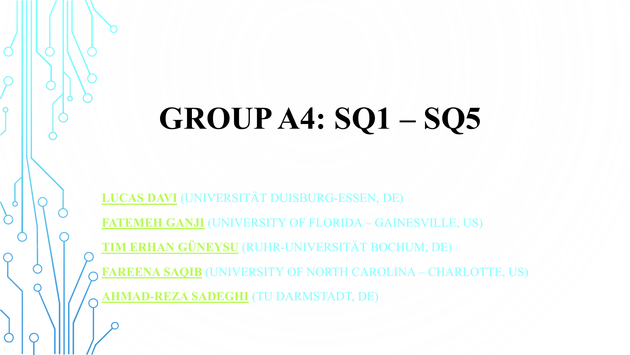# **GROUP A4: SQ1 – SQ5**

**[LUCAS DAVI](http://www.syssec.wiwi.uni-due.de/en/team/lucas-davi/)** (UNIVERSITÄT DUISBURG-ESSEN, DE)

**[FATEMEH GANJI](http://www.isti.tu-berlin.de/security_in_telecommunications/menue/people/research_assistants/fatemeh_ganji/)** (UNIVERSITY OF FLORIDA – GAINESVILLE, US)

**[TIM ERHAN GÜNEYSU](http://www.gueneysu.de/)** (RUHR-UNIVERSITÄT BOCHUM, DE)

**[FAREENA](http://ece.uncc.edu/directory/dr-fareena-saqib-phd) SAQIB** (UNIVERSITY OF NORTH CAROLINA – CHARLOTTE, US)

**[AHMAD-REZA SADEGHI](https://www.trust.cased.de/people/ahmad-reza-sadeghi)** (TU DARMSTADT, DE)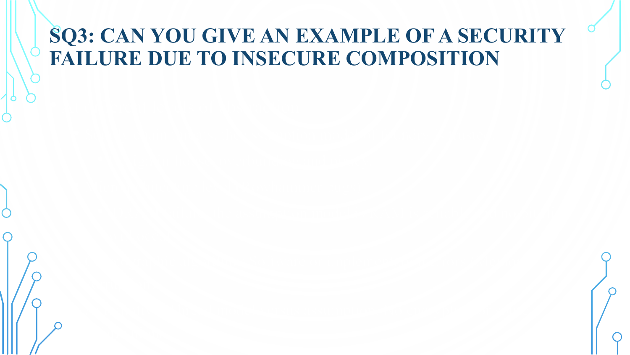### **SQ3: CAN YOU GIVE AN EXAMPLE OF A SECURITY FAILURE DUE TO INSECURE COMPOSITION**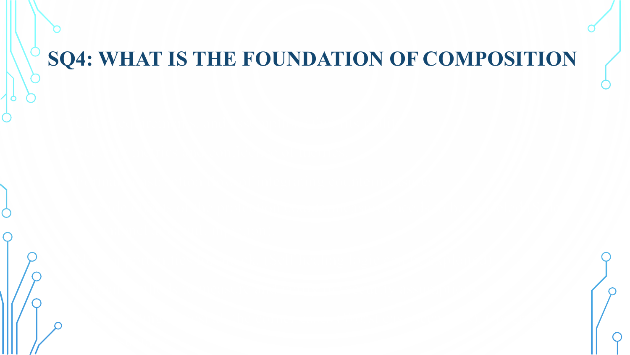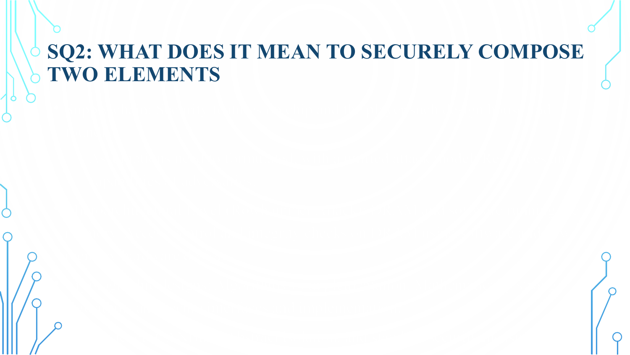#### **SQ2: WHAT DOES IT MEAN TO SECURELY COMPOSE TWO ELEMENTS**

• System level (CANBus): Abstract isolation, and standard security measures.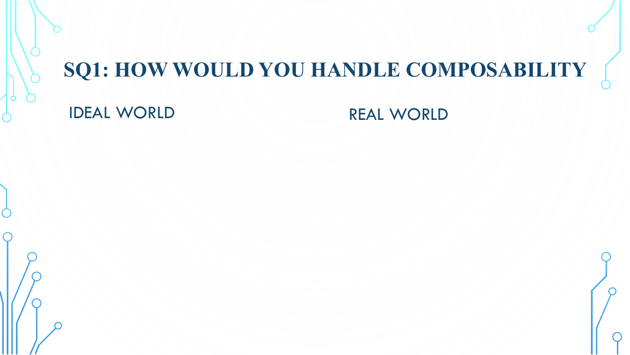## **SQ1: HOW WOULD YOU HANDLE COMPOSABILITY**

#### IDEAL WORLD REAL WORLD